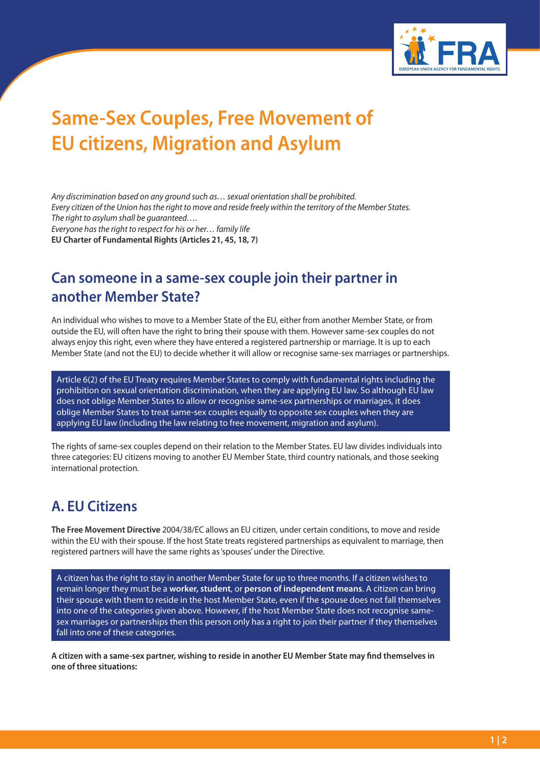

# **Same-Sex Couples, Free Movement of EU citizens, Migration and Asylum**

*Any discrimination based on any ground such as… sexual orientation shall be prohibited. Every citizen of the Union has the right to move and reside freely within the territory of the Member States. The right to asylum shall be guaranteed…. Everyone has the right to respect for his or her… family life* **EU Charter of Fundamental Rights (Articles 21, 45, 18, 7)**

### **Can someone in a same-sex couple join their partner in another Member State?**

An individual who wishes to move to a Member State of the EU, either from another Member State, or from outside the EU, will often have the right to bring their spouse with them. However same-sex couples do not always enjoy this right, even where they have entered a registered partnership or marriage. It is up to each Member State (and not the EU) to decide whether it will allow or recognise same-sex marriages or partnerships.

Article 6(2) of the EU Treaty requires Member States to comply with fundamental rights including the prohibition on sexual orientation discrimination, when they are applying EU law. So although EU law does not oblige Member States to allow or recognise same-sex partnerships or marriages, it does oblige Member States to treat same-sex couples equally to opposite sex couples when they are applying EU law (including the law relating to free movement, migration and asylum).

The rights of same-sex couples depend on their relation to the Member States. EU law divides individuals into three categories: EU citizens moving to another EU Member State, third country nationals, and those seeking international protection.

#### **A. EU Citizens**

**The Free Movement Directive** 2004/38/EC allows an EU citizen, under certain conditions, to move and reside within the EU with their spouse. If the host State treats registered partnerships as equivalent to marriage, then registered partners will have the same rights as 'spouses' under the Directive.

A citizen has the right to stay in another Member State for up to three months. If a citizen wishes to remain longer they must be a **worker, student**, or **person of independent means**. A citizen can bring their spouse with them to reside in the host Member State, even if the spouse does not fall themselves into one of the categories given above. However, if the host Member State does not recognise samesex marriages or partnerships then this person only has a right to join their partner if they themselves fall into one of these categories.

**A citizen with a same-sex partner, wishing to reside in another EU Member State may find themselves in one of three situations:**